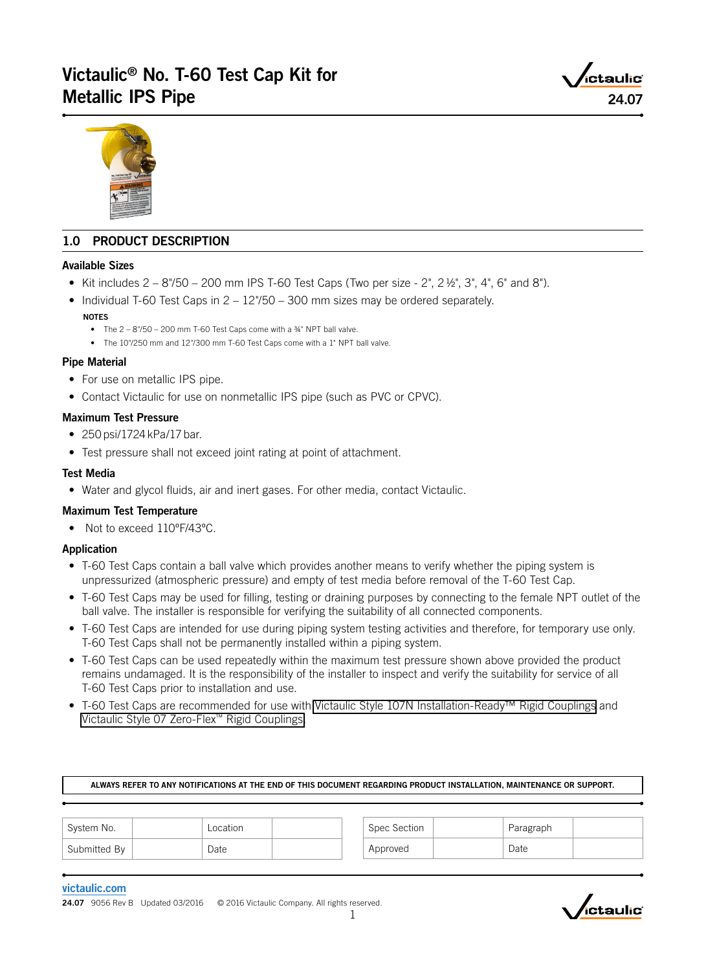# Victaulic® No. T-60 Test Cap Kit for Metallic IPS Pipe 24.07



# 1.0 PRODUCT DESCRIPTION

#### Available Sizes

- Kit includes  $2 8$ "/50 200 mm IPS T-60 Test Caps (Two per size 2", 2 $\frac{1}{2}$ ", 3", 4", 6" and 8").
- Individual T-60 Test Caps in 2 12"/50 300 mm sizes may be ordered separately. **NOTES** 
	- The 2 8"/50 200 mm T-60 Test Caps come with a ¾" NPT ball valve.
	- The 10"/250 mm and 12"/300 mm T-60 Test Caps come with a 1" NPT ball valve.

### Pipe Material

- For use on metallic IPS pipe.
- Contact Victaulic for use on nonmetallic IPS pipe (such as PVC or CPVC).

### Maximum Test Pressure

- 250 psi/1724 kPa/17 bar.
- Test pressure shall not exceed joint rating at point of attachment.

### Test Media

• Water and glycol fluids, air and inert gases. For other media, contact Victaulic.

# Maximum Test Temperature

• Not to exceed 110°F/43°C.

#### Application

- T-60 Test Caps contain a ball valve which provides another means to verify whether the piping system is unpressurized (atmospheric pressure) and empty of test media before removal of the T-60 Test Cap.
- T-60 Test Caps may be used for filling, testing or draining purposes by connecting to the female NPT outlet of the ball valve. The installer is responsible for verifying the suitability of all connected components.
- T-60 Test Caps are intended for use during piping system testing activities and therefore, for temporary use only. T-60 Test Caps shall not be permanently installed within a piping system.
- T-60 Test Caps can be used repeatedly within the maximum test pressure shown above provided the product remains undamaged. It is the responsibility of the installer to inspect and verify the suitability for service of all T-60 Test Caps prior to installation and use.
- T-60 Test Caps are recommended for use with [Victaulic Style 107N Installation-Ready™ Rigid Couplings](https://www.victaulic.com/products/style-107n-quickvic-rigid-coupling/) and [Victaulic Style 07 Zero-Flex™ Rigid Couplings.](https://www.victaulic.com/products/style-07-zero-flex-rigid-coupling/)

| ALWAYS REFER TO ANY NOTIFICATIONS AT THE END OF THIS DOCUMENT REGARDING PRODUCT INSTALLATION. MAINTENANCE OR SUPPORT. |  |
|-----------------------------------------------------------------------------------------------------------------------|--|
|                                                                                                                       |  |

| System No.   | Location | Spec Section | Paragraph |  |
|--------------|----------|--------------|-----------|--|
| Submitted By | Date     | Approved     | Date      |  |

#### [victaulic.com](http://www.victaulic.com)

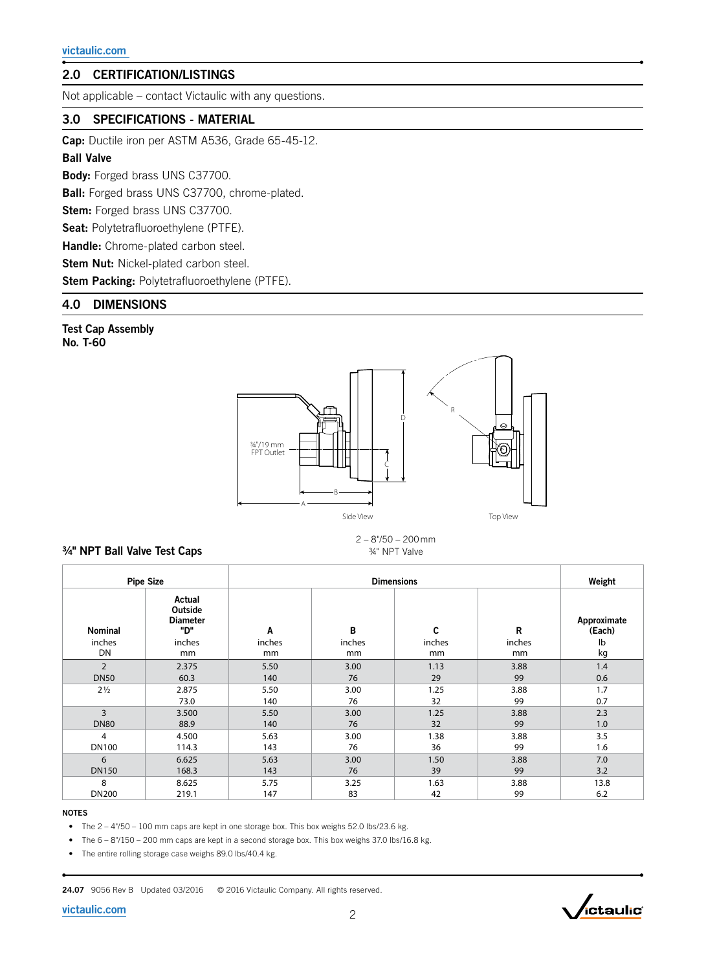# 2.0 CERTIFICATION/LISTINGS

Not applicable – contact Victaulic with any questions.

# 3.0 SPECIFICATIONS - MATERIAL

Cap: Ductile iron per ASTM A536, Grade 65-45-12.

#### Ball Valve

Body: Forged brass UNS C37700.

Ball: Forged brass UNS C37700, chrome-plated.

Stem: Forged brass UNS C37700.

Seat: Polytetrafluoroethylene (PTFE).

Handle: Chrome-plated carbon steel.

Stem Nut: Nickel-plated carbon steel.

Stem Packing: Polytetrafluoroethylene (PTFE).

# 4.0 DIMENSIONS

Test Cap Assembly No. T-60



### ¾" NPT Ball Valve Test Caps

2 – 8"/50 – 200 mm ¾" NPT Valve

|                | <b>Pipe Size</b>                           | <b>Dimensions</b> |        |        |        | Weight                |
|----------------|--------------------------------------------|-------------------|--------|--------|--------|-----------------------|
| <b>Nominal</b> | Actual<br>Outside<br><b>Diameter</b><br>"ש | A                 | B      | C      | R      | Approximate<br>(Each) |
| inches         | inches                                     | inches            | inches | inches | inches | Ib                    |
| DN             | mm                                         | mm                | mm     | mm     | mm     | kg                    |
| $\overline{2}$ | 2.375                                      | 5.50              | 3.00   | 1.13   | 3.88   | 1.4                   |
| <b>DN50</b>    | 60.3                                       | 140               | 76     | 29     | 99     | 0.6                   |
| $2\frac{1}{2}$ | 2.875                                      | 5.50              | 3.00   | 1.25   | 3.88   | 1.7                   |
|                | 73.0                                       | 140               | 76     | 32     | 99     | 0.7                   |
| 3              | 3.500                                      | 5.50              | 3.00   | 1.25   | 3.88   | 2.3                   |
| <b>DN80</b>    | 88.9                                       | 140               | 76     | 32     | 99     | 1.0                   |
| 4              | 4.500                                      | 5.63              | 3.00   | 1.38   | 3.88   | 3.5                   |
| <b>DN100</b>   | 114.3                                      | 143               | 76     | 36     | 99     | 1.6                   |
| 6              | 6.625                                      | 5.63              | 3.00   | 1.50   | 3.88   | 7.0                   |
| <b>DN150</b>   | 168.3                                      | 143               | 76     | 39     | 99     | 3.2                   |
| 8              | 8.625                                      | 5.75              | 3.25   | 1.63   | 3.88   | 13.8                  |
| <b>DN200</b>   | 219.1                                      | 147               | 83     | 42     | 99     | 6.2                   |

### NOTES

• The 2 – 4"/50 – 100 mm caps are kept in one storage box. This box weighs 52.0 lbs/23.6 kg.

• The 6 – 8"/150 – 200 mm caps are kept in a second storage box. This box weighs 37.0 lbs/16.8 kg.

• The entire rolling storage case weighs 89.0 lbs/40.4 kg.

24.07 9056 Rev B Updated 03/2016 © 2016 Victaulic Company. All rights reserved.

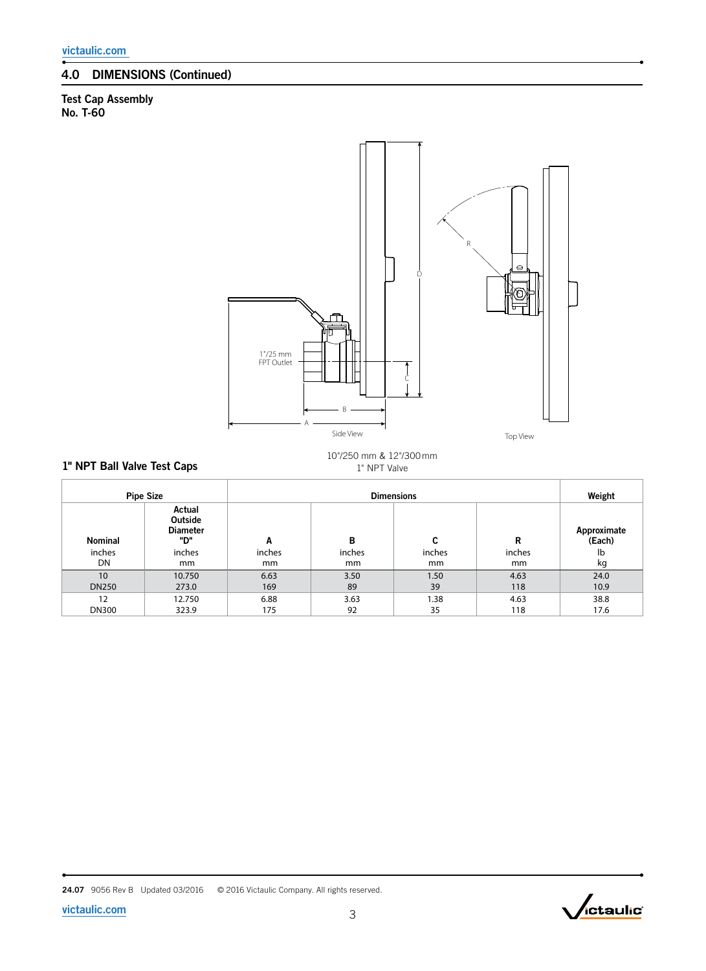# 4.0 DIMENSIONS (Continued)

1" NPT Ball Valve Test Caps

# Test Cap Assembly No. T-60



10"/250 mm & 12"/300 mm 1" NPT Valve

|              | <b>Pipe Size</b>                                  |        | Weight |        |        |                       |
|--------------|---------------------------------------------------|--------|--------|--------|--------|-----------------------|
| Nominal      | Actual<br><b>Outside</b><br><b>Diameter</b><br>"ש | A      | В      | C      | R      | Approximate<br>(Each) |
| inches       | inches                                            | inches | inches | inches | inches | lb                    |
| DN           | mm                                                | mm     | mm     | mm     | mm     | kg                    |
| 10           | 10.750                                            | 6.63   | 3.50   | 1.50   | 4.63   | 24.0                  |
| <b>DN250</b> | 273.0                                             | 169    | 89     | 39     | 118    | 10.9                  |
| 12           | 12.750                                            | 6.88   | 3.63   | 1.38   | 4.63   | 38.8                  |
| <b>DN300</b> | 323.9                                             | 175    | 92     | 35     | 118    | 17.6                  |

24.07 9056 Rev B Updated 03/2016 © 2016 Victaulic Company. All rights reserved.